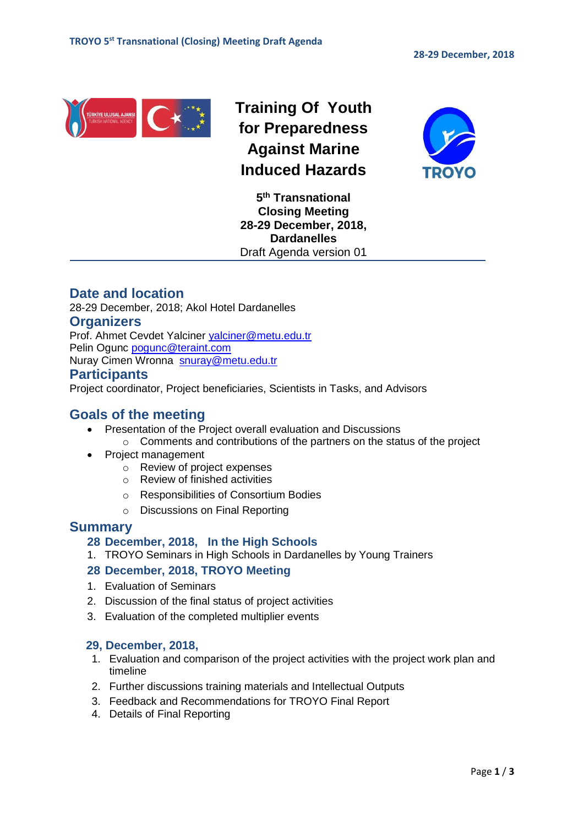

**Training Of Youth for Preparedness Against Marine Induced Hazards**



**5 th Transnational Closing Meeting 28-29 December, 2018, Dardanelles** Draft Agenda version 01

# **Date and location**

28-29 December, 2018; Akol Hotel Dardanelles

#### **Organizers**

Prof. Ahmet Cevdet Yalciner [yalciner@metu.edu.tr](mailto:yalciner@metu.edu.tr) Pelin Ogunc [pogunc@teraint.com](mailto:pogunc@teraint.com)

Nuray Cimen Wronna [snuray@metu.edu.tr](mailto:snuray@metu.edu.tr) 

#### **Participants**

Project coordinator, Project beneficiaries, Scientists in Tasks, and Advisors

### **Goals of the meeting**

- Presentation of the Project overall evaluation and Discussions
	- o Comments and contributions of the partners on the status of the project Project management
		- $\circ$  Review of project expenses
			- o Review of finished activities
			- o Responsibilities of Consortium Bodies
			- o Discussions on Final Reporting

# **Summary**

#### **28 December, 2018, In the High Schools**

1. TROYO Seminars in High Schools in Dardanelles by Young Trainers

#### **28 December, 2018, TROYO Meeting**

- 1. Evaluation of Seminars
- 2. Discussion of the final status of project activities
- 3. Evaluation of the completed multiplier events

#### **29, December, 2018,**

- 1. Evaluation and comparison of the project activities with the project work plan and timeline
- 2. Further discussions training materials and Intellectual Outputs
- 3. Feedback and Recommendations for TROYO Final Report
- 4. Details of Final Reporting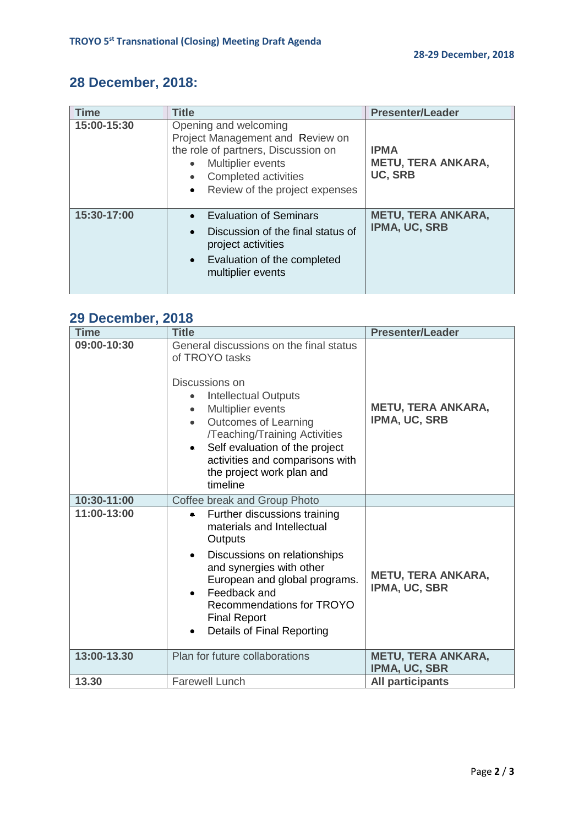# **28 December, 2018:**

| <b>Time</b> | <b>Title</b>                                                                                                                                                                    | <b>Presenter/Leader</b>                                    |  |
|-------------|---------------------------------------------------------------------------------------------------------------------------------------------------------------------------------|------------------------------------------------------------|--|
| 15:00-15:30 | Opening and welcoming<br>Project Management and Review on<br>the role of partners, Discussion on<br>Multiplier events<br>Completed activities<br>Review of the project expenses | <b>IPMA</b><br><b>METU, TERA ANKARA,</b><br><b>UC, SRB</b> |  |
| 15:30-17:00 | <b>Evaluation of Seminars</b><br>Discussion of the final status of<br>project activities<br>• Evaluation of the completed<br>multiplier events                                  | <b>METU, TERA ANKARA,</b><br>IPMA, UC, SRB                 |  |

# **29 December, 2018**

| <b>Time</b> | <b>Title</b>                                                                                                                                                                                                                                                                                                               | <b>Presenter/Leader</b>                    |
|-------------|----------------------------------------------------------------------------------------------------------------------------------------------------------------------------------------------------------------------------------------------------------------------------------------------------------------------------|--------------------------------------------|
| 09:00-10:30 | General discussions on the final status<br>of TROYO tasks<br>Discussions on<br><b>Intellectual Outputs</b><br>Multiplier events<br><b>Outcomes of Learning</b><br>/Teaching/Training Activities<br>Self evaluation of the project<br>$\bullet$<br>activities and comparisons with<br>the project work plan and<br>timeline | <b>METU, TERA ANKARA,</b><br>IPMA, UC, SRB |
| 10:30-11:00 | Coffee break and Group Photo                                                                                                                                                                                                                                                                                               |                                            |
| 11:00-13:00 | Further discussions training<br>materials and Intellectual<br>Outputs<br>Discussions on relationships<br>$\bullet$<br>and synergies with other<br>European and global programs.<br>Feedback and<br>Recommendations for TROYO<br><b>Final Report</b><br><b>Details of Final Reporting</b>                                   | <b>METU, TERA ANKARA,</b><br>IPMA, UC, SBR |
| 13:00-13.30 | Plan for future collaborations                                                                                                                                                                                                                                                                                             | <b>METU, TERA ANKARA,</b><br>IPMA, UC, SBR |
| 13.30       | <b>Farewell Lunch</b>                                                                                                                                                                                                                                                                                                      | <b>All participants</b>                    |